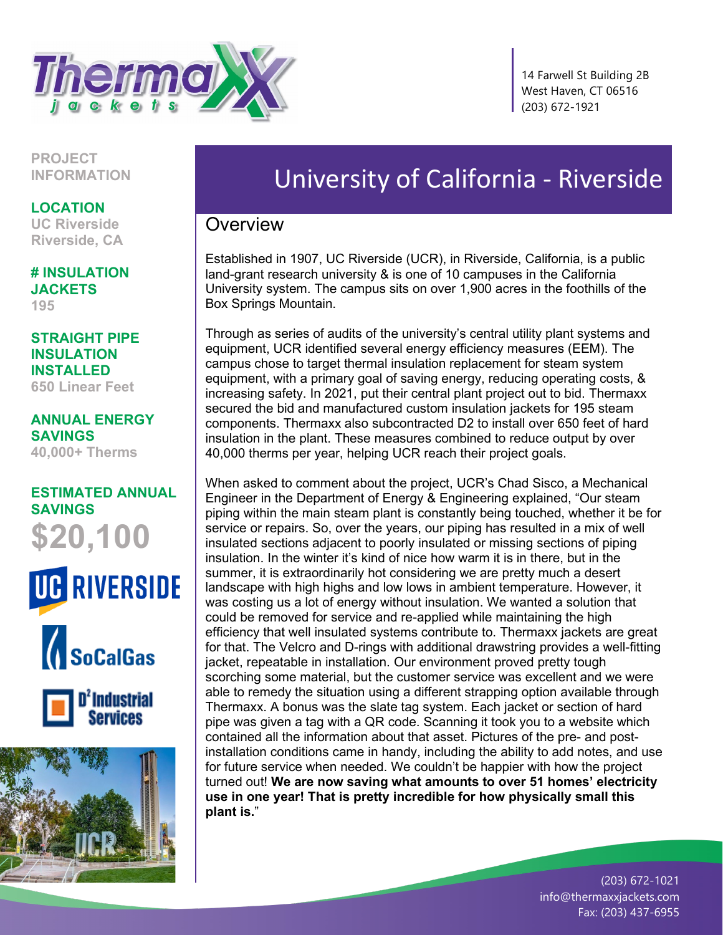

 14 Farwell St Building 2B West Haven, CT 06516 (203) 672-1921

**PROJECT INFORMATION**

**LOCATION**

**UC Riverside Riverside, CA**

**# INSULATION JACKETS 195**

**STRAIGHT PIPE INSULATION INSTALLED 650 Linear Feet**

**ANNUAL ENERGY SAVINGS 40,000+ Therms**

## **ESTIMATED ANNUAL SAVINGS \$20,100**









## University of California - Riverside

## **Overview**

Established in 1907, UC Riverside (UCR), in Riverside, California, is a public land-grant research university & is one of 10 campuses in the California University system. The campus sits on over 1,900 acres in the foothills of the Box Springs Mountain.

Through as series of audits of the university's central utility plant systems and equipment, UCR identified several energy efficiency measures (EEM). The campus chose to target thermal insulation replacement for steam system equipment, with a primary goal of saving energy, reducing operating costs, & increasing safety. In 2021, put their central plant project out to bid. Thermaxx secured the bid and manufactured custom insulation jackets for 195 steam components. Thermaxx also subcontracted D2 to install over 650 feet of hard insulation in the plant. These measures combined to reduce output by over 40,000 therms per year, helping UCR reach their project goals.

When asked to comment about the project, UCR's Chad Sisco, a Mechanical Engineer in the Department of Energy & Engineering explained, "Our steam piping within the main steam plant is constantly being touched, whether it be for service or repairs. So, over the years, our piping has resulted in a mix of well insulated sections adjacent to poorly insulated or missing sections of piping insulation. In the winter it's kind of nice how warm it is in there, but in the summer, it is extraordinarily hot considering we are pretty much a desert landscape with high highs and low lows in ambient temperature. However, it was costing us a lot of energy without insulation. We wanted a solution that could be removed for service and re-applied while maintaining the high efficiency that well insulated systems contribute to. Thermaxx jackets are great for that. The Velcro and D-rings with additional drawstring provides a well-fitting jacket, repeatable in installation. Our environment proved pretty tough scorching some material, but the customer service was excellent and we were able to remedy the situation using a different strapping option available through Thermaxx. A bonus was the slate tag system. Each jacket or section of hard pipe was given a tag with a QR code. Scanning it took you to a website which contained all the information about that asset. Pictures of the pre- and postinstallation conditions came in handy, including the ability to add notes, and use for future service when needed. We couldn't be happier with how the project turned out! **We are now saving what amounts to over 51 homes' electricity use in one year! That is pretty incredible for how physically small this plant is.**"

> (203) 672-1021 info@thermaxxjackets.com Fax: (203) 437-6955